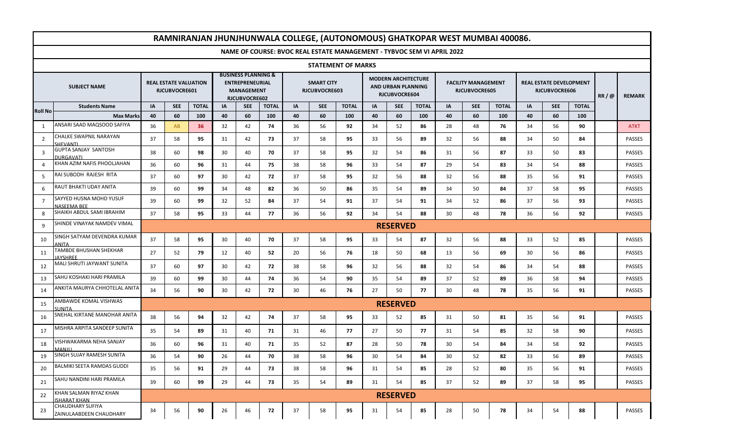| RAMNIRANJAN JHUNJHUNWALA COLLEGE, (AUTONOMOUS) GHATKOPAR WEST MUMBAI 400086. |                                                |                                               |            |              |                                                                                                |            |              |                                    |            |              |                                                                   |                 |              |                                             |            |              |                                          |            |              |      |               |
|------------------------------------------------------------------------------|------------------------------------------------|-----------------------------------------------|------------|--------------|------------------------------------------------------------------------------------------------|------------|--------------|------------------------------------|------------|--------------|-------------------------------------------------------------------|-----------------|--------------|---------------------------------------------|------------|--------------|------------------------------------------|------------|--------------|------|---------------|
| NAME OF COURSE: BVOC REAL ESTATE MANAGEMENT - TYBVOC SEM VI APRIL 2022       |                                                |                                               |            |              |                                                                                                |            |              |                                    |            |              |                                                                   |                 |              |                                             |            |              |                                          |            |              |      |               |
| <b>STATEMENT OF MARKS</b>                                                    |                                                |                                               |            |              |                                                                                                |            |              |                                    |            |              |                                                                   |                 |              |                                             |            |              |                                          |            |              |      |               |
| <b>SUBJECT NAME</b>                                                          |                                                | <b>REAL ESTATE VALUATION</b><br>RJCUBVOCRE601 |            |              | <b>BUSINESS PLANNING &amp;</b><br><b>ENTREPRENEURIAL</b><br><b>MANAGEMENT</b><br>RJCUBVOCRE602 |            |              | <b>SMART CITY</b><br>RJCUBVOCRE603 |            |              | <b>MODERN ARCHITECTURE</b><br>AND URBAN PLANNING<br>RJCUBVOCRE604 |                 |              | <b>FACILITY MANAGEMENT</b><br>RJCUBVOCRE605 |            |              | REAL ESTATE DEVELOPMENT<br>RJCUBVOCRE606 |            |              | RR/@ | <b>REMARK</b> |
| <b>Roll No</b>                                                               | <b>Students Name</b>                           | IA                                            | <b>SEE</b> | <b>TOTAL</b> | IA                                                                                             | <b>SEE</b> | <b>TOTAL</b> | IA                                 | <b>SEE</b> | <b>TOTAL</b> | IA                                                                | <b>SEE</b>      | <b>TOTAL</b> | IA                                          | <b>SEE</b> | <b>TOTAL</b> | IA                                       | <b>SEE</b> | <b>TOTAL</b> |      |               |
|                                                                              | <b>Max Marks</b>                               | 40                                            | 60         | 100          | 40                                                                                             | 60         | 100          | 40                                 | 60         | 100          | 40                                                                | 60              | 100          | 40                                          | 60         | 100          | 40                                       | 60         | 100          |      |               |
| 1                                                                            | ANSARI SAAD MAQSOOD SAFIYA                     | 36                                            | AB         | 36           | 32                                                                                             | 42         | 74           | 36                                 | 56         | 92           | 34                                                                | 52              | 86           | 28                                          | 48         | 76           | 34                                       | 56         | 90           |      | <b>ATKT</b>   |
| $\overline{2}$                                                               | CHALKE SWAPNIL NARAYAN<br>SHFVANTI             | 37                                            | 58         | 95           | 31                                                                                             | 42         | 73           | 37                                 | 58         | 95           | 33                                                                | 56              | 89           | 32                                          | 56         | 88           | 34                                       | 50         | 84           |      | <b>PASSES</b> |
| 3                                                                            | <b>GUPTA SANJAY SANTOSH</b><br>DURGAVATI       | 38                                            | 60         | 98           | 30                                                                                             | 40         | 70           | 37                                 | 58         | 95           | 32                                                                | 54              | 86           | 31                                          | 56         | 87           | 33                                       | 50         | 83           |      | <b>PASSES</b> |
| $\overline{4}$                                                               | KHAN AZIM NAFIS PHOOLJAHAN                     | 36                                            | 60         | 96           | 31                                                                                             | 44         | 75           | 38                                 | 58         | 96           | 33                                                                | 54              | 87           | 29                                          | 54         | 83           | 34                                       | 54         | 88           |      | <b>PASSES</b> |
| 5                                                                            | RAI SUBODH RAJESH RITA                         | 37                                            | 60         | 97           | 30                                                                                             | 42         | 72           | 37                                 | 58         | 95           | 32                                                                | 56              | 88           | 32                                          | 56         | 88           | 35                                       | 56         | 91           |      | <b>PASSES</b> |
| 6                                                                            | RAUT BHAKTI UDAY ANITA                         | 39                                            | 60         | 99           | 34                                                                                             | 48         | 82           | 36                                 | 50         | 86           | 35                                                                | 54              | 89           | 34                                          | 50         | 84           | 37                                       | 58         | 95           |      | <b>PASSES</b> |
| $\overline{7}$                                                               | SAYYED HUSNA MOHD YUSUF<br><b>JASFFMA RFF</b>  | 39                                            | 60         | 99           | 32                                                                                             | 52         | 84           | 37                                 | 54         | 91           | 37                                                                | 54              | 91           | 34                                          | 52         | 86           | 37                                       | 56         | 93           |      | <b>PASSES</b> |
| 8                                                                            | SHAIKH ABDUL SAMI IBRAHIM                      | 37                                            | 58         | 95           | 33                                                                                             | 44         | 77           | 36                                 | 56         | 92           | 34                                                                | 54              | 88           | 30                                          | 48         | 78           | 36                                       | 56         | 92           |      | <b>PASSES</b> |
| 9                                                                            | SHINDE VINAYAK NAMDEV VIMAL                    | <b>RESERVED</b>                               |            |              |                                                                                                |            |              |                                    |            |              |                                                                   |                 |              |                                             |            |              |                                          |            |              |      |               |
| 10                                                                           | iINGH SATYAM DEVENDRA KUMAR<br><b>ANITA</b>    | 37                                            | 58         | 95           | 30                                                                                             | 40         | 70           | 37                                 | 58         | 95           | 33                                                                | 54              | 87           | 32                                          | 56         | 88           | 33                                       | 52         | 85           |      | <b>PASSES</b> |
| 11                                                                           | TAMBDE BHUSHAN SHEKHAR<br><b>AYSHREE</b>       | 27                                            | 52         | 79           | 12                                                                                             | 40         | 52           | 20                                 | 56         | 76           | 18                                                                | 50              | 68           | 13                                          | 56         | 69           | 30                                       | 56         | 86           |      | <b>PASSES</b> |
| 12                                                                           | MALI SHRUTI JAYWANT SUNITA                     | 37                                            | 60         | 97           | 30                                                                                             | 42         | 72           | 38                                 | 58         | 96           | 32                                                                | 56              | 88           | 32                                          | 54         | 86           | 34                                       | 54         | 88           |      | <b>PASSES</b> |
| 13                                                                           | SAHU KOSHAKI HARI PRAMILA                      | 39                                            | 60         | 99           | 30                                                                                             | 44         | 74           | 36                                 | 54         | 90           | 35                                                                | 54              | 89           | 37                                          | 52         | 89           | 36                                       | 58         | 94           |      | <b>PASSES</b> |
| 14                                                                           | ANKITA MAURYA CHHOTELAL ANITA                  | 34                                            | 56         | 90           | 30                                                                                             | 42         | 72           | 30                                 | 46         | 76           | 27                                                                | 50              | 77           | 30                                          | 48         | 78           | 35                                       | 56         | 91           |      | <b>PASSES</b> |
| 15                                                                           | AMBAWDE KOMAL VISHWAS<br>SUNITA                |                                               |            |              |                                                                                                |            |              |                                    |            |              |                                                                   | <b>RESERVED</b> |              |                                             |            |              |                                          |            |              |      |               |
| 16                                                                           | SNEHAL KIRTANE MANOHAR ANITA                   | 38                                            | 56         | 94           | 32                                                                                             | 42         | 74           | 37                                 | 58         | 95           | 33                                                                | 52              | 85           | 31                                          | 50         | 81           | 35                                       | 56         | 91           |      | <b>PASSES</b> |
| 17                                                                           | <b>MISHRA ARPITA SANDEEP SUNITA</b>            | 35                                            | 54         | 89           | 31                                                                                             | 40         | 71           | 31                                 | 46         | 77           | 27                                                                | 50              | 77           | 31                                          | 54         | 85           | 32                                       | 58         | 90           |      | <b>PASSES</b> |
| 18                                                                           | <b>ISHWAKARMA NEHA SANJAY</b><br><b>UILANN</b> | 36                                            | 60         | 96           | 31                                                                                             | 40         | 71           | 35                                 | 52         | 87           | 28                                                                | 50              | 78           | 30                                          | 54         | 84           | 34                                       | 58         | 92           |      | <b>PASSES</b> |
| 19                                                                           | SINGH SUJAY RAMESH SUNITA                      | 36                                            | 54         | 90           | 26                                                                                             | 44         | 70           | 38                                 | 58         | 96           | 30                                                                | 54              | 84           | 30                                          | 52         | 82           | 33                                       | 56         | 89           |      | PASSES        |
| 20                                                                           | <b>BALMIKI SEETA RAMDAS GUDDI</b>              | 35                                            | 56         | 91           | 29                                                                                             | 44         | 73           | 38                                 | 58         | 96           | 31                                                                | 54              | 85           | 28                                          | 52         | 80           | 35                                       | 56         | 91           |      | <b>PASSES</b> |
| 21                                                                           | SAHU NANDINI HARI PRAMILA                      | 39                                            | 60         | 99           | 29                                                                                             | 44         | 73           | 35                                 | 54         | 89           | 31                                                                | 54              | 85           | 37                                          | 52         | 89           | 37                                       | 58         | 95           |      | <b>PASSES</b> |
| 22                                                                           | KHAN SALMAN RIYAZ KHAN<br>ISHARAT KHAN         |                                               |            |              |                                                                                                |            |              |                                    |            |              |                                                                   | <b>RESERVED</b> |              |                                             |            |              |                                          |            |              |      |               |
| 23                                                                           | CHAUDHARY SUFIYA<br>ZAINULAABDEEN CHAUDHARY    | 34                                            | 56         | 90           | 26                                                                                             | 46         | 72           | 37                                 | 58         | 95           | 31                                                                | 54              | 85           | 28                                          | 50         | 78           | 34                                       | 54         | 88           |      | PASSES        |